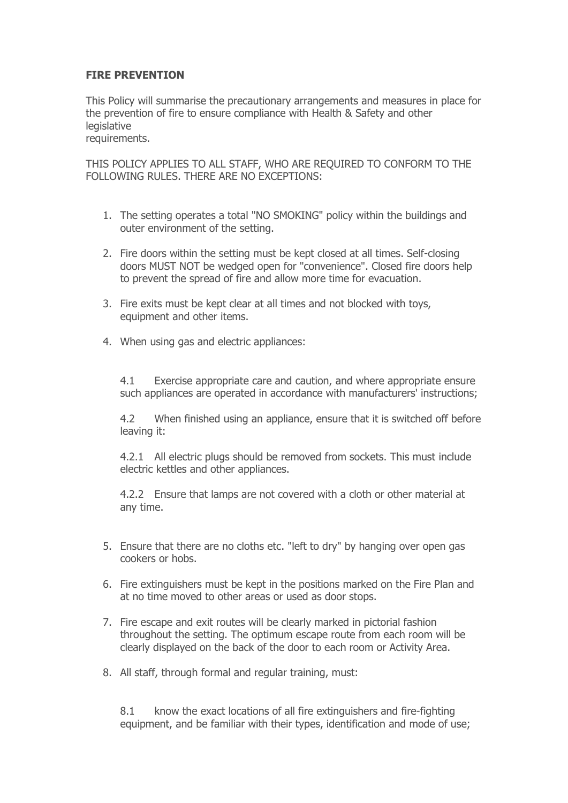## **FIRE PREVENTION**

This Policy will summarise the precautionary arrangements and measures in place for the prevention of fire to ensure compliance with Health & Safety and other legislative requirements.

THIS POLICY APPLIES TO ALL STAFF, WHO ARE REQUIRED TO CONFORM TO THE FOLLOWING RULES. THERE ARE NO EXCEPTIONS:

- 1. The setting operates a total "NO SMOKING" policy within the buildings and outer environment of the setting.
- 2. Fire doors within the setting must be kept closed at all times. Self-closing doors MUST NOT be wedged open for "convenience". Closed fire doors help to prevent the spread of fire and allow more time for evacuation.
- 3. Fire exits must be kept clear at all times and not blocked with toys, equipment and other items.
- 4. When using gas and electric appliances:

4.1 Exercise appropriate care and caution, and where appropriate ensure such appliances are operated in accordance with manufacturers' instructions;

4.2 When finished using an appliance, ensure that it is switched off before leaving it:

4.2.1 All electric plugs should be removed from sockets. This must include electric kettles and other appliances.

4.2.2 Ensure that lamps are not covered with a cloth or other material at any time.

- 5. Ensure that there are no cloths etc. "left to dry" by hanging over open gas cookers or hobs.
- 6. Fire extinguishers must be kept in the positions marked on the Fire Plan and at no time moved to other areas or used as door stops.
- 7. Fire escape and exit routes will be clearly marked in pictorial fashion throughout the setting. The optimum escape route from each room will be clearly displayed on the back of the door to each room or Activity Area.
- 8. All staff, through formal and regular training, must:

8.1 know the exact locations of all fire extinguishers and fire-fighting equipment, and be familiar with their types, identification and mode of use;